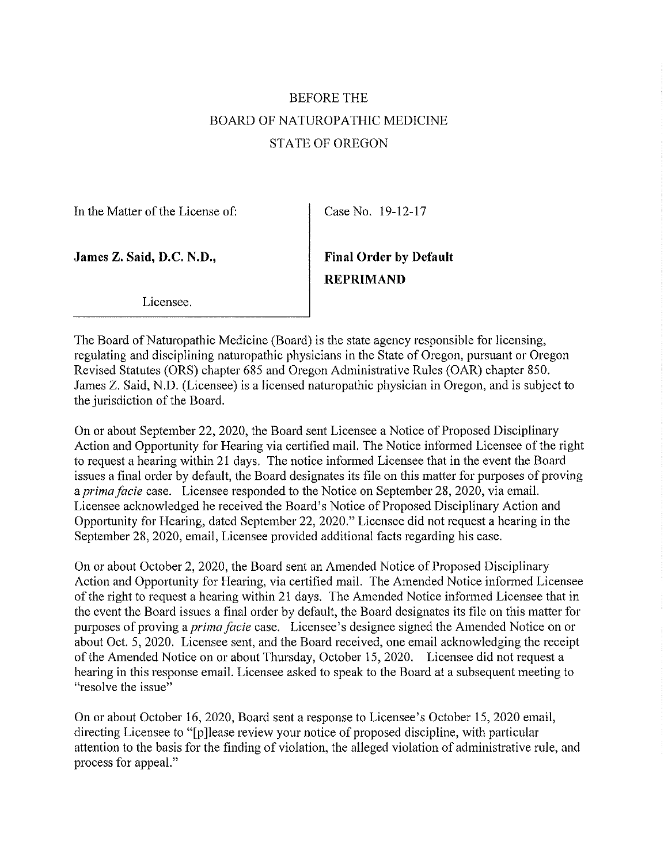# BEFORE THE BOARD OF NATUROPATHIC MEDICINE STATE OF OREGON

In the Matter of the License of:

Case No. 19-12-17

James Z. Said, D.C. N.D.,

REPRIMAND Final Order by Default

Licensee.

The Board of Naturopathic Medicine (Board) is the state agency responsible for licensing, regulating and disciplining naturopathic physicians in the State of Oregon, pursuant or Oregon Revised Statutes (ORS) chapter 685 and Oregon Administrative Rules (OAR) chapter 850. James Z. Said, N.D. (Licensee) is a licensed naturopathic physician in Oregon, and is subject to the jurisdiction of the Board.

On or about September 22, 2020, the Board sent Licensee a Notice of Proposed Disciplinary Action and Opportunity for Hearing via certified mail. The Notice informed Licensee of the right to request a hearing within 21 days. The notice informed Licensee that in the event the Board issues a final order by default, the Board designates its file on this matter for purposes of proving a prima facie case. Licensee responded to the Notice on September 28, 2020, via email. Licensee acknowledged he received the Board's Notice of Proposed Disciplinary Action and Opportunity for Hearing, dated September 22, 2020." Licensee did not request a hearing in the September 28, 2020, email, Licensee provided additional facts regarding his case.

On or about October 2, 2020, the Board sent an Amended Notice of Proposed Disciplinary Action and Opportunity for Hearing, via certified mail. The Amended Notice informed Licensee of the right to request a hearing within 21 days. The Amended Notice informed Licensee that in the event the Board issues a final order by default, the Board designates its file on this matter for purposes of proving a *prima facie* case. Licensee's designee signed the Amended Notice on or about Oct. 5, 2020. Licensee sent, and the Board received, one email acknowledging the receipt of the Amended Notice on or about Thursday, October 15, 2020. Licensee did not request a hearing in this response email. Licensee asked to speak to the Board at a subsequent meeting to "resolve the issue"

On or about October 16, 2020, Board sent a response to Licensee's October 15, 2020 email, directing Licensee to "[pjlease review your notice of proposed discipline, with particular attention to the basis for the finding of violation, the alleged violation of administrative rule, and process for appeal."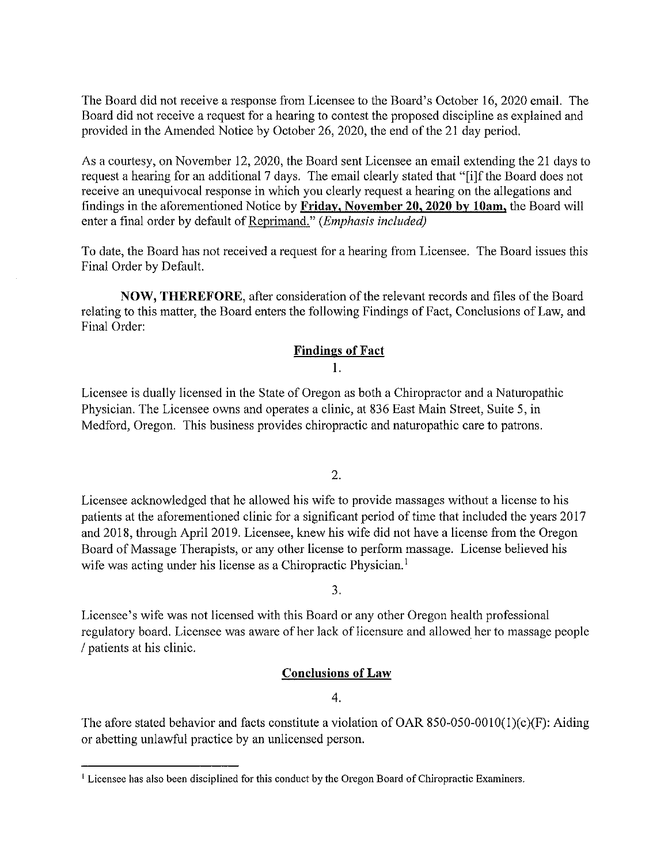The Board did not receive a response from Licensee to the Board's October 16, 2020 email. The Board did not receive a request for a hearing to contest the proposed discipline as explained and provided in the Amended Notice by October 26, 2020, the end of the 21 day period.

As a courtesy, on November 12, 2020, the Board sent Licensee an email extending the 21 days to request a hearing for an additional 7 days. The email clearly stated that "[i]f the Board does not receive an unequivocal response in which you clearly request a hearing on the allegations and findings in the aforementioned Notice by Friday, November 20, 2020 by 10am, the Board will enter a final order by default of Reprimand." (Emphasis included)

To date, the Board has not received a request for a hearing from Licensee. The Board issues this Final Order by Default.

NOW, THEREFORE, after consideration of the relevant records and files of the Board relating to this matter, the Board enters the following Findings of Fact, Conclusions of Law, and Final Order:

## Findines of Fact

## 1.

Licensee is dually licensed in the State of Oregon as both a Chiropractor and a Naturopathic Physician. The Licensee owns and operates a clinic, at 836 East Main Street, Suite 5, in Medford, Oregon. This business provides chiropractic and naturopathic care to patrons.

2.

Licensee acknowledged that he allowed his wife to provide massages without a license to his patients at the aforementioned clinic for a significant period of time that included the years 2017 and 2018, through April 2019. Licensee, knew his wife did not have a license from the Oregon Board of Massage Therapists, or any other license to perform massage. License believed his wife was acting under his license as a Chiropractic Physician.<sup>1</sup>

3.

Licensee's wife was not licensed with this Board or any other Oregon health professional regulatory board. Licensee was aware of her lack of licensure and allowed her to massage people / patients at his clinic.

## Conclusions of Law

### 4.

The afore stated behavior and facts constitute a violation of OAR 850-050-0010(1)(c)(F): Aiding or abetting unlawful practice by an unlicensed person.

<sup>&</sup>lt;sup>1</sup> Licensee has also been disciplined for this conduct by the Oregon Board of Chiropractic Examiners.